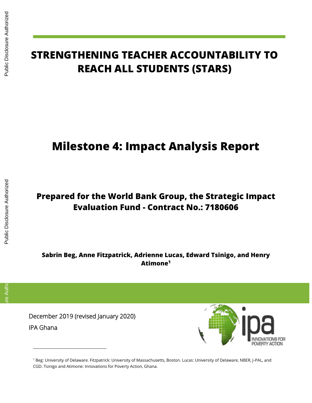$\overline{a}$ 

# **STRENGTHENING TEACHER ACCOUNTABILITY TO REACH ALL STUDENTS (STARS)** IPA Ghana Public Disclosure Authorized Public Disclosure Authorized Public Disclosure Authorized Public Disclosure Authorized Public Disclosure Authorized Public Disclosure Authorized Public Disclosure Authorized Public Di

# **Milestone 4: Impact Analysis Report**

# **Prepared for the World Bank Group, the Strategic Impact Evaluation Fund - Contract No.: 7180606**

**Sabrin Beg, Anne Fitzpatrick, Adrienne Lucas, Edward Tsinigo, and Henry Atimone<sup>1</sup>**

December 2019 (revised January 2020)

**IPA Ghana** 



<sup>1</sup> Beg: University of Delaware. Fitzpatrick: University of Massachusetts, Boston. Lucas: University of Delaware, NBER, J-PAL, and CGD. Tsinigo and Atimone: Innovations for Poverty Action, Ghana.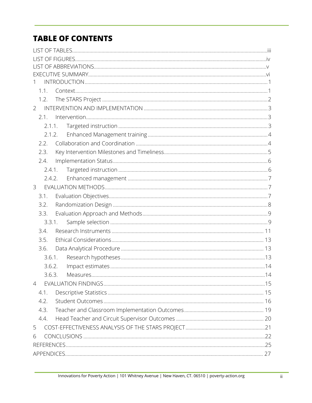# **TABLE OF CONTENTS**

| 1.1.           |        |  |
|----------------|--------|--|
| 1.2.           |        |  |
| $\overline{2}$ |        |  |
| 2.1.           |        |  |
| 2.1.1.         |        |  |
|                | 2.1.2. |  |
| 2.2.           |        |  |
| 2.3.           |        |  |
| 2.4.           |        |  |
| 2.4.1.         |        |  |
| 2.4.2.         |        |  |
| 3              |        |  |
| 3.1.           |        |  |
| 3.2.           |        |  |
| 3.3.           |        |  |
|                | 3.3.1. |  |
| 3.4.           |        |  |
| 3.5.           |        |  |
| 3.6.           |        |  |
| 3.6.1.         |        |  |
| 3.6.2.         |        |  |
| 3.6.3.         |        |  |
| 4              |        |  |
| 4.1.           |        |  |
| 4.2.           |        |  |
| 4.3.           |        |  |
| 4.4.           |        |  |
| 5              |        |  |
| 6              |        |  |
|                |        |  |
|                |        |  |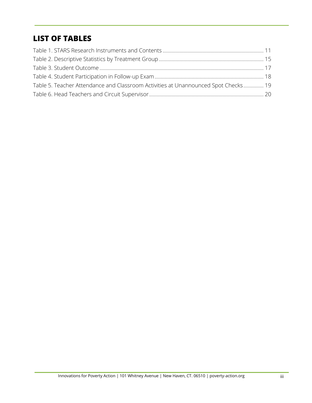# **LIST OF TABLES**

| Table 5. Teacher Attendance and Classroom Activities at Unannounced Spot Checks 19 |  |
|------------------------------------------------------------------------------------|--|
|                                                                                    |  |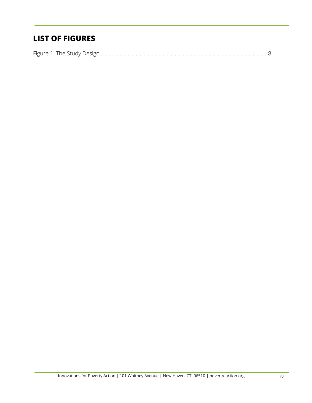# **LIST OF FIGURES**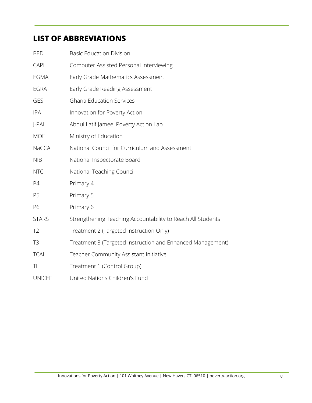# **LIST OF ABBREVIATIONS**

| <b>BED</b>     | <b>Basic Education Division</b>                             |
|----------------|-------------------------------------------------------------|
| <b>CAPI</b>    | Computer Assisted Personal Interviewing                     |
| <b>EGMA</b>    | Early Grade Mathematics Assessment                          |
| <b>EGRA</b>    | Early Grade Reading Assessment                              |
| <b>GES</b>     | <b>Ghana Education Services</b>                             |
| <b>IPA</b>     | Innovation for Poverty Action                               |
| J-PAL          | Abdul Latif Jameel Poverty Action Lab                       |
| <b>MOE</b>     | Ministry of Education                                       |
| NaCCA          | National Council for Curriculum and Assessment              |
| <b>NIB</b>     | National Inspectorate Board                                 |
| <b>NTC</b>     | National Teaching Council                                   |
| P4             | Primary 4                                                   |
| P <sub>5</sub> | Primary 5                                                   |
| P6             | Primary 6                                                   |
| <b>STARS</b>   | Strengthening Teaching Accountability to Reach All Students |
| T <sub>2</sub> | Treatment 2 (Targeted Instruction Only)                     |
| T <sub>3</sub> | Treatment 3 (Targeted Instruction and Enhanced Management)  |
| <b>TCAI</b>    | Teacher Community Assistant Initiative                      |
| T <sub>l</sub> | Treatment 1 (Control Group)                                 |
| <b>UNICEF</b>  | United Nations Children's Fund                              |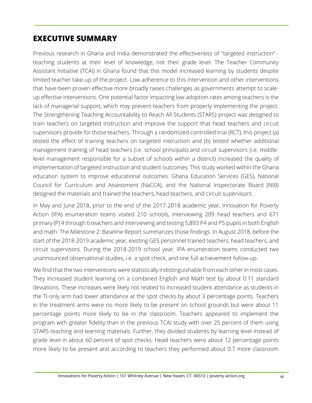## **EXECUTIVE SUMMARY**

Previous research in Ghana and India demonstrated the effectiveness of "targeted instruction" teaching students at their level of knowledge, not their grade level. The Teacher Community Assistant Initiative (TCAI) in Ghana found that this model increased learning by students despite limited teacher take-up of the project. Low adherence to this intervention and other interventions that have been proven effective more broadly raises challenges as governments attempt to scaleup effective interventions. One potential factor impacting low adoption rates among teachers is the lack of managerial support, which may prevent teachers from properly implementing the project. The Strengthening Teaching Accountability to Reach All Students (STARS) project was designed to train teachers on targeted instruction and improve the support that head teachers and circuit supervisors provide for those teachers. Through a randomized controlled trial (RCT), this project (a) tested the effect of training teachers on targeted instruction and (b) tested whether additional management training of head teachers (i.e. school principals) and circuit supervisors (i.e. middlelevel management responsible for a subset of schools within a district) increased the quality of implementation of targeted instruction and student outcomes. This study worked within the Ghana education system to improve educational outcomes. Ghana Education Services (GES), National Council for Curriculum and Assessment (NaCCA), and the National Inspectorate Board (NIB) designed the materials and trained the teachers, head teachers, and circuit supervisors.

In May and June 2018, prior to the end of the 2017-2018 academic year, Innovation for Poverty Action (IPA) enumeration teams visited 210 schools, interviewing 209 head teachers and 671 primary (P) 4 through 6 teachers and interviewing and testing 5,893 P4 and P5 pupils in both English and math. The Milestone 2: Baseline Report summarizes those findings. In August 2018, before the start of the 2018-2019 academic year, existing GES personnel trained teachers, head teachers, and circuit supervisors. During the 2018-2019 school year, IPA enumeration teams conducted two unannounced observational studies, i.e. a spot check, and one full achievement follow-up.

We find that the two interventions were statistically indistinguishable from each other in most cases. They increased student learning on a combined English and Math test by about 0.11 standard deviations. These increases were likely not related to increased student attendance as students in the TI-only arm had lower attendance at the spot checks by about 3 percentage points. Teachers in the treatment arms were no more likely to be present on school grounds but were about 11 percentage points more likely to be in the classroom. Teachers appeared to implement the program with greater fidelity than in the previous TCAI study with over 25 percent of them using STARS teaching and learning materials. Further, they divided students by learning level instead of grade level in about 60 percent of spot checks. Head teachers were about 12 percentage points more likely to be present and according to teachers they performed about 0.7 more classroom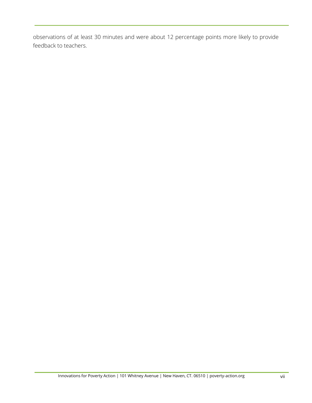observations of at least 30 minutes and were about 12 percentage points more likely to provide feedback to teachers.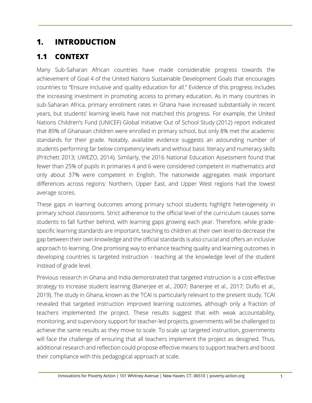# <span id="page-7-0"></span>**1. INTRODUCTION**

# <span id="page-7-1"></span>**1.1 CONTEXT**

Many Sub-Saharan African countries have made considerable progress towards the achievement of Goal 4 of the United Nations Sustainable Development Goals that encourages countries to "Ensure inclusive and quality education for all." Evidence of this progress includes the increasing investment in promoting access to primary education. As in many countries in sub-Saharan Africa, primary enrolment rates in Ghana have increased substantially in recent years, but students' learning levels have not matched this progress. For example, the United Nations Children's Fund (UNICEF) Global Initiative Out of School Study (2012) report indicated that 89% of Ghanaian children were enrolled in primary school, but only 8% met the academic standards for their grade. Notably, available evidence suggests an astounding number of students performing far below competency levels and without basic literacy and numeracy skills (Pritchett 2013; UWEZO, 2014). Similarly, the 2016 National Education Assessment found that fewer than 25% of pupils in primaries 4 and 6 were considered competent in mathematics and only about 37% were competent in English. The nationwide aggregates mask important differences across regions: Northern, Upper East, and Upper West regions had the lowest average scores.

These gaps in learning outcomes among primary school students highlight heterogeneity in primary school classrooms. Strict adherence to the official level of the curriculum causes some students to fall further behind, with learning gaps growing each year. Therefore, while gradespecific learning standards are important, teaching to children at their own level to decrease the gap between their own knowledge and the official standards is also crucial and offers an inclusive approach to learning. One promising way to enhance teaching quality and learning outcomes in developing countries is targeted instruction - teaching at the knowledge level of the student instead of grade level.

Previous research in Ghana and India demonstrated that targeted instruction is a cost-effective strategy to increase student learning (Banerjee et al., 2007; Banerjee et al., 2017; Duflo et al., 2019). The study in Ghana, known as the TCAI is particularly relevant to the present study. TCAI revealed that targeted instruction improved learning outcomes, although only a fraction of teachers implemented the project. These results suggest that with weak accountability, monitoring, and supervisory support for teacher-led projects, governments will be challenged to achieve the same results as they move to scale. To scale up targeted instruction, governments will face the challenge of ensuring that all teachers implement the project as designed. Thus, additional research and reflection could propose effective means to support teachers and boost their compliance with this pedagogical approach at scale.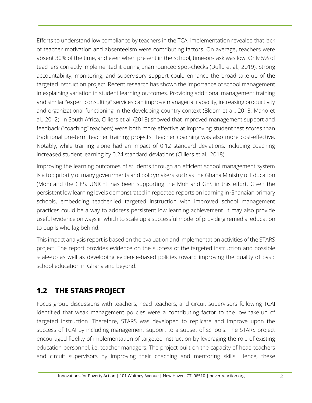Efforts to understand low compliance by teachers in the TCAI implementation revealed that lack of teacher motivation and absenteeism were contributing factors. On average, teachers were absent 30% of the time, and even when present in the school, time-on-task was low. Only 5% of teachers correctly implemented it during unannounced spot-checks (Duflo et al., 2019). Strong accountability, monitoring, and supervisory support could enhance the broad take-up of the targeted instruction project. Recent research has shown the importance of school management in explaining variation in student learning outcomes. Providing additional management training and similar "expert consulting" services can improve managerial capacity, increasing productivity and organizational functioning in the developing country context (Bloom et al., 2013; Mano et al., 2012). In South Africa, Cilliers et al. (2018) showed that improved management support and feedback ("coaching" teachers) were both more effective at improving student test scores than traditional pre-term teacher training projects. Teacher coaching was also more cost-effective. Notably, while training alone had an impact of 0.12 standard deviations, including coaching increased student learning by 0.24 standard deviations (Cilliers et al., 2018).

Improving the learning outcomes of students through an efficient school management system is a top priority of many governments and policymakers such as the Ghana Ministry of Education (MoE) and the GES. UNICEF has been supporting the MoE and GES in this effort. Given the persistent low learning levels demonstrated in repeated reports on learning in Ghanaian primary schools, embedding teacher-led targeted instruction with improved school management practices could be a way to address persistent low learning achievement. It may also provide useful evidence on ways in which to scale up a successful model of providing remedial education to pupils who lag behind.

This impact analysis report is based on the evaluation and implementation activities of the STARS project. The report provides evidence on the success of the targeted instruction and possible scale-up as well as developing evidence-based policies toward improving the quality of basic school education in Ghana and beyond.

# <span id="page-8-0"></span>**1.2 THE STARS PROJECT**

Focus group discussions with teachers, head teachers, and circuit supervisors following TCAI identified that weak management policies were a contributing factor to the low take-up of targeted instruction. Therefore, STARS was developed to replicate and improve upon the success of TCAI by including management support to a subset of schools. The STARS project encouraged fidelity of implementation of targeted instruction by leveraging the role of existing education personnel, i.e. teacher managers. The project built on the capacity of head teachers and circuit supervisors by improving their coaching and mentoring skills. Hence, these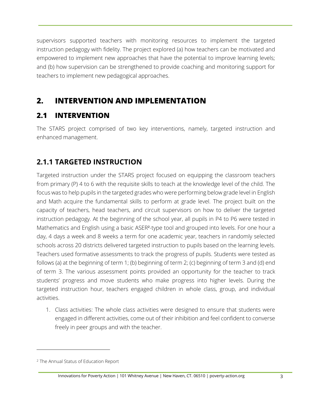supervisors supported teachers with monitoring resources to implement the targeted instruction pedagogy with fidelity. The project explored (a) how teachers can be motivated and empowered to implement new approaches that have the potential to improve learning levels; and (b) how supervision can be strengthened to provide coaching and monitoring support for teachers to implement new pedagogical approaches.

## <span id="page-9-0"></span>**2. INTERVENTION AND IMPLEMENTATION**

## <span id="page-9-1"></span>**2.1 INTERVENTION**

The STARS project comprised of two key interventions, namely, targeted instruction and enhanced management.

# <span id="page-9-2"></span>**2.1.1 TARGETED INSTRUCTION**

Targeted instruction under the STARS project focused on equipping the classroom teachers from primary (P) 4 to 6 with the requisite skills to teach at the knowledge level of the child. The focus was to help pupils in the targeted grades who were performing below grade level in English and Math acquire the fundamental skills to perform at grade level. The project built on the capacity of teachers, head teachers, and circuit supervisors on how to deliver the targeted instruction pedagogy. At the beginning of the school year, all pupils in P4 to P6 were tested in Mathematics and English using a basic ASER<sup>2</sup>-type tool and grouped into levels. For one hour a day, 4 days a week and 8 weeks a term for one academic year, teachers in randomly selected schools across 20 districts delivered targeted instruction to pupils based on the learning levels. Teachers used formative assessments to track the progress of pupils. Students were tested as follows (a) at the beginning of term 1; (b) beginning of term 2; (c) beginning of term 3 and (d) end of term 3. The various assessment points provided an opportunity for the teacher to track students' progress and move students who make progress into higher levels. During the targeted instruction hour, teachers engaged children in whole class, group, and individual activities.

1. Class activities: The whole class activities were designed to ensure that students were engaged in different activities, come out of their inhibition and feel confident to converse freely in peer groups and with the teacher.

<sup>2</sup> The Annual Status of Education Report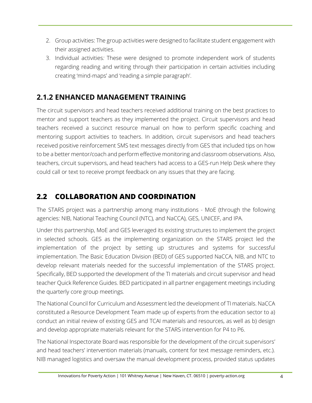- 2. Group activities: The group activities were designed to facilitate student engagement with their assigned activities.
- 3. Individual activities*:* These were designed to promote independent work of students regarding reading and writing through their participation in certain activities including creating 'mind-maps' and 'reading a simple paragraph'.

## <span id="page-10-0"></span>**2.1.2 ENHANCED MANAGEMENT TRAINING**

The circuit supervisors and head teachers received additional training on the best practices to mentor and support teachers as they implemented the project. Circuit supervisors and head teachers received a succinct resource manual on how to perform specific coaching and mentoring support activities to teachers. In addition, circuit supervisors and head teachers received positive reinforcement SMS text messages directly from GES that included tips on how to be a better mentor/coach and perform effective monitoring and classroom observations. Also, teachers, circuit supervisors, and head teachers had access to a GES-run Help Desk where they could call or text to receive prompt feedback on any issues that they are facing.

# <span id="page-10-1"></span>**2.2 COLLABORATION AND COORDINATION**

The STARS project was a partnership among many institutions - MoE (through the following agencies: NIB, National Teaching Council (NTC), and NaCCA), GES, UNICEF, and IPA.

Under this partnership, MoE and GES leveraged its existing structures to implement the project in selected schools. GES as the implementing organization on the STARS project led the implementation of the project by setting up structures and systems for successful implementation. The Basic Education Division (BED) of GES supported NaCCA, NIB, and NTC to develop relevant materials needed for the successful implementation of the STARS project. Specifically, BED supported the development of the TI materials and circuit supervisor and head teacher Quick Reference Guides. BED participated in all partner engagement meetings including the quarterly core group meetings.

The National Council for Curriculum and Assessment led the development of TI materials. NaCCA constituted a Resource Development Team made up of experts from the education sector to a) conduct an initial review of existing GES and TCAI materials and resources, as well as b) design and develop appropriate materials relevant for the STARS intervention for P4 to P6.

The National Inspectorate Board was responsible for the development of the circuit supervisors' and head teachers' intervention materials (manuals, content for text message reminders, etc.). NIB managed logistics and oversaw the manual development process, provided status updates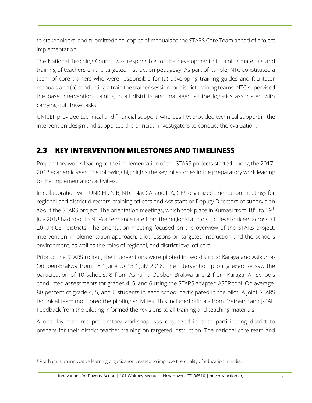to stakeholders, and submitted final copies of manuals to the STARS Core Team ahead of project implementation.

The National Teaching Council was responsible for the development of training materials and training of teachers on the targeted instruction pedagogy. As part of its role, NTC constituted a team of core trainers who were responsible for (a) developing training guides and facilitator manuals and (b) conducting a train the trainer session for district training teams. NTC supervised the base intervention training in all districts and managed all the logistics associated with carrying out these tasks.

UNICEF provided technical and financial support, whereas IPA provided technical support in the intervention design and supported the principal investigators to conduct the evaluation.

## <span id="page-11-0"></span>**2.3 KEY INTERVENTION MILESTONES AND TIMELINESS**

Preparatory works leading to the implementation of the STARS projects started during the 2017- 2018 academic year. The following highlights the key milestones in the preparatory work leading to the implementation activities.

In collaboration with UNICEF, NIB, NTC, NaCCA, and IPA, GES organized orientation meetings for regional and district directors, training officers and Assistant or Deputy Directors of supervision about the STARS project. The orientation meetings, which took place in Kumasi from 18<sup>th</sup> to 19<sup>th</sup> July 2018 had about a 95% attendance rate from the regional and district level officers across all 20 UNICEF districts. The orientation meeting focused on the overview of the STARS project, intervention, implementation approach, pilot lessons on targeted instruction and the school's environment, as well as the roles of regional, and district level officers.

Prior to the STARS rollout, the interventions were piloted in two districts: Karaga and Asikuma-Odoben-Brakwa from 18<sup>th</sup> June to 13<sup>th</sup> July 2018. The intervention piloting exercise saw the participation of 10 schools: 8 from Asikuma-Odoben-Brakwa and 2 from Karaga. All schools conducted assessments for grades 4, 5, and 6 using the STARS adapted ASER tool. On average, 80 percent of grade 4, 5, and 6 students in each school participated in the pilot. A joint STARS technical team monitored the piloting activities. This included officials from Pratham<sup>3</sup> and J-PAL. Feedback from the piloting informed the revisions to all training and teaching materials.

A one-day resource preparatory workshop was organized in each participating district to prepare for their district teacher training on targeted instruction. The national core team and

<sup>&</sup>lt;sup>3</sup> Pratham is an innovative learning organization created to improve the quality of education in India.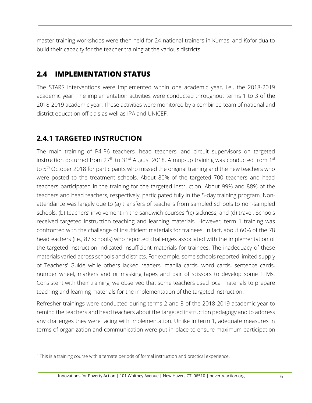master training workshops were then held for 24 national trainers in Kumasi and Koforidua to build their capacity for the teacher training at the various districts.

#### <span id="page-12-0"></span>**2.4 IMPLEMENTATION STATUS**

The STARS interventions were implemented within one academic year, i.e., the 2018-2019 academic year. The implementation activities were conducted throughout terms 1 to 3 of the 2018-2019 academic year. These activities were monitored by a combined team of national and district education officials as well as IPA and UNICEF.

#### <span id="page-12-1"></span>**2.4.1 TARGETED INSTRUCTION**

The main training of P4-P6 teachers, head teachers, and circuit supervisors on targeted instruction occurred from  $27<sup>th</sup>$  to  $31<sup>st</sup>$  August 2018. A mop-up training was conducted from  $1<sup>st</sup>$ to 5<sup>th</sup> October 2018 for participants who missed the original training and the new teachers who were posted to the treatment schools. About 80% of the targeted 700 teachers and head teachers participated in the training for the targeted instruction. About 99% and 88% of the teachers and head teachers, respectively, participated fully in the 5-day training program. Nonattendance was largely due to (a) transfers of teachers from sampled schools to non-sampled schools, (b) teachers' involvement in the sandwich courses  ${}^{4}$ (c) sickness, and (d) travel. Schools received targeted instruction teaching and learning materials. However, term 1 training was confronted with the challenge of insufficient materials for trainees. In fact, about 60% of the 78 headteachers (i.e., 87 schools) who reported challenges associated with the implementation of the targeted instruction indicated insufficient materials for trainees. The inadequacy of these materials varied across schools and districts. For example, some schools reported limited supply of Teachers' Guide while others lacked readers, manila cards, word cards, sentence cards, number wheel, markers and or masking tapes and pair of scissors to develop some TLMs. Consistent with their training, we observed that some teachers used local materials to prepare teaching and learning materials for the implementation of the targeted instruction.

Refresher trainings were conducted during terms 2 and 3 of the 2018-2019 academic year to remind the teachers and head teachers about the targeted instruction pedagogy and to address any challenges they were facing with implementation. Unlike in term 1, adequate measures in terms of organization and communication were put in place to ensure maximum participation

<sup>4</sup> This is a training course with alternate periods of formal instruction and practical experience.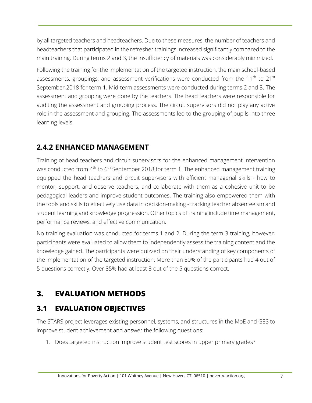by all targeted teachers and headteachers. Due to these measures, the number of teachers and headteachers that participated in the refresher trainings increased significantly compared to the main training. During terms 2 and 3, the insufficiency of materials was considerably minimized.

Following the training for the implementation of the targeted instruction, the main school-based assessments, groupings, and assessment verifications were conducted from the  $11<sup>th</sup>$  to  $21<sup>st</sup>$ September 2018 for term 1. Mid-term assessments were conducted during terms 2 and 3. The assessment and grouping were done by the teachers. The head teachers were responsible for auditing the assessment and grouping process. The circuit supervisors did not play any active role in the assessment and grouping. The assessments led to the grouping of pupils into three learning levels.

# <span id="page-13-0"></span>**2.4.2 ENHANCED MANAGEMENT**

Training of head teachers and circuit supervisors for the enhanced management intervention was conducted from 4<sup>th</sup> to 6<sup>th</sup> September 2018 for term 1. The enhanced management training equipped the head teachers and circuit supervisors with efficient managerial skills - how to mentor, support, and observe teachers, and collaborate with them as a cohesive unit to be pedagogical leaders and improve student outcomes. The training also empowered them with the tools and skills to effectively use data in decision-making - tracking teacher absenteeism and student learning and knowledge progression. Other topics of training include time management, performance reviews, and effective communication.

No training evaluation was conducted for terms 1 and 2. During the term 3 training, however, participants were evaluated to allow them to independently assess the training content and the knowledge gained. The participants were quizzed on their understanding of key components of the implementation of the targeted instruction. More than 50% of the participants had 4 out of 5 questions correctly. Over 85% had at least 3 out of the 5 questions correct.

# <span id="page-13-1"></span>**3. EVALUATION METHODS**

# <span id="page-13-2"></span>**3.1 EVALUATION OBJECTIVES**

The STARS project leverages existing personnel, systems, and structures in the MoE and GES to improve student achievement and answer the following questions:

1. Does targeted instruction improve student test scores in upper primary grades?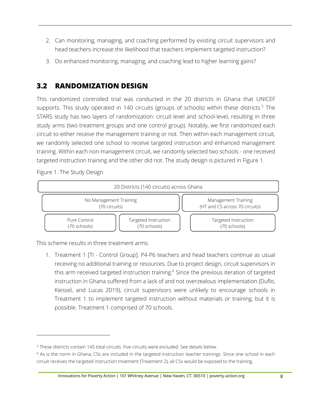- 2. Can monitoring, managing, and coaching performed by existing circuit supervisors and head teachers increase the likelihood that teachers implement targeted instruction?
- 3. Do enhanced monitoring, managing, and coaching lead to higher learning gains?

## <span id="page-14-0"></span>**3.2 RANDOMIZATION DESIGN**

This randomized controlled trial was conducted in the 20 districts in Ghana that UNICEF supports. This study operated in 140 circuits (groups of schools) within these districts.<sup>5</sup> The STARS study has two layers of randomization: circuit-level and school-level, resulting in three study arms (two treatment groups and one control group). Notably, we first randomized each circuit to either receive the management training or not. Then within each management circuit, we randomly selected one school to receive targeted instruction and enhanced management training. Within each non-management circuit, we randomly selected two schools - one received targeted instruction training and the other did not. The study design is pictured in Figure 1.

<span id="page-14-1"></span>Figure 1. The Study Design



This scheme results in three treatment arms.

1. Treatment 1 [TI - Control Group]. P4-P6 teachers and head teachers continue as usual receiving no additional training or resources. Due to project design, circuit supervisors in this arm received targeted instruction training.<sup>6</sup> Since the previous iteration of targeted instruction in Ghana suffered from a lack of and not overzealous implementation (Duflo, Kiessel, and Lucas 2019), circuit supervisors were unlikely to encourage schools in Treatment 1 to implement targeted instruction without materials or training, but it is possible. Treatment 1 comprised of 70 schools.

<sup>5</sup> These districts contain 145 total circuits. Five circuits were excluded. See details below.

<sup>6</sup> As is the norm in Ghana, CSs are included in the targeted instruction teacher trainings. Since one school in each circuit receives the targeted instruction treatment (Treatment 2), all CSs would be exposed to the training.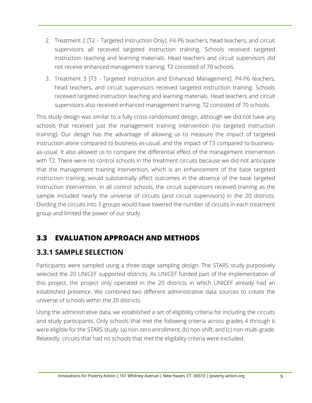- 2. Treatment 2 [T2 Targeted Instruction Only]. P4-P6 teachers, head teachers, and circuit supervisors all received targeted instruction training. Schools received targeted instruction teaching and learning materials. Head teachers and circuit supervisors did not receive enhanced management training. T2 consisted of 70 schools.
- 3. Treatment 3 [T3 Targeted Instruction and Enhanced Management]. P4-P6 teachers, head teachers, and circuit supervisors received targeted instruction training. Schools received targeted instruction teaching and learning materials. Head teachers and circuit supervisors also received enhanced management training. T2 consisted of 70 schools.

This study design was similar to a fully cross-randomized design, although we did not have any schools that received just the management training intervention (no targeted instruction training). Our design has the advantage of allowing us to measure the impact of targeted instruction alone compared to business-as-usual, and the impact of T3 compared to businessas-usual. It also allowed us to compare the differential effect of the management intervention with T2. There were no control schools in the treatment circuits because we did not anticipate that the management training intervention, which is an enhancement of the base targeted instruction training, would substantially affect outcomes in the absence of the base targeted instruction intervention. In all control schools, the circuit supervisors received training as the sample included nearly the universe of circuits (and circuit supervisors) in the 20 districts. Dividing the circuits into 3 groups would have lowered the number of circuits in each treatment group and limited the power of our study.

# <span id="page-15-0"></span>**3.3 EVALUATION APPROACH AND METHODS**

# <span id="page-15-1"></span>**3.3.1 SAMPLE SELECTION**

Participants were sampled using a three-stage sampling design. The STARS study purposively selected the 20 UNICEF supported districts. As UNICEF funded part of the implementation of this project, the project only operated in the 20 districts in which UNICEF already had an established presence. We combined two different administrative data sources to create the universe of schools within the 20 districts.

Using the administrative data, we established a set of eligibility criteria for including the circuits and study participants. Only schools that met the following criteria across grades 4 through 6 were eligible for the STARS study: (a) non-zero enrollment, (b) non-shift, and (c) non-multi-grade. Relatedly, circuits that had no schools that met the eligibility criteria were excluded.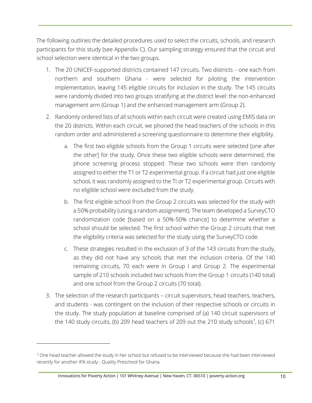The following outlines the detailed procedures used to select the circuits, schools, and research participants for this study (see Appendix C). Our sampling strategy ensured that the circuit and school selection were identical in the two groups.

- 1. The 20 UNICEF-supported districts contained 147 circuits. Two districts one each from northern and southern Ghana - were selected for piloting the intervention implementation, leaving 145 eligible circuits for inclusion in the study. The 145 circuits were randomly divided into two groups stratifying at the district level: the non-enhanced management arm (Group 1) and the enhanced management arm (Group 2).
- 2. Randomly ordered lists of all schools within each circuit were created using EMIS data on the 20 districts. Within each circuit, we phoned the head teachers of the schools in this random order and administered a screening questionnaire to determine their eligibility.
	- a. The first two eligible schools from the Group 1 circuits were selected [one after the other] for the study. Once these two eligible schools were determined, the phone screening process stopped. These two schools were then randomly assigned to either the T1 or T2 experimental group. If a circuit had just one eligible school, it was randomly assigned to the TI or T2 experimental group. Circuits with no eligible school were excluded from the study.
	- b. The first eligible school from the Group 2 circuits was selected for the study with a 50% probability (using a random assignment). The team developed a SurveyCTO randomization code [based on a 50%-50% chance] to determine whether a school should be selected. The first school within the Group 2 circuits that met the eligibility criteria was selected for the study using the SurveyCTO code.
	- c. These strategies resulted in the exclusion of 3 of the 143 circuits from the study, as they did not have any schools that met the inclusion criteria. Of the 140 remaining circuits, 70 each were in Group I and Group 2. The experimental sample of 210 schools included two schools from the Group 1 circuits (140 total) and one school from the Group 2 circuits (70 total).
- 3. The selection of the research participants circuit supervisors, head teachers, teachers, and students - was contingent on the inclusion of their respective schools or circuits in the study. The study population at baseline comprised of (a) 140 circuit supervisors of the 140 study circuits, (b) 209 head teachers of 209 out the 210 study schools<sup>7</sup>, (c) 671

<sup>&</sup>lt;sup>7</sup> One head teacher allowed the study in her school but refused to be interviewed because she had been interviewed recently for another IPA study - Quality Preschool for Ghana.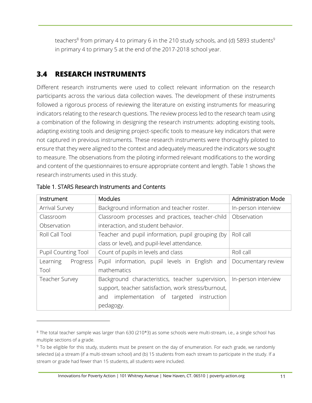teachers $^8$  from primary 4 to primary 6 in the 210 study schools, and (d) 5893 students $^9$ in primary 4 to primary 5 at the end of the 2017-2018 school year.

## <span id="page-17-0"></span>**3.4 RESEARCH INSTRUMENTS**

Different research instruments were used to collect relevant information on the research participants across the various data collection waves. The development of these instruments followed a rigorous process of reviewing the literature on existing instruments for measuring indicators relating to the research questions. The review process led to the research team using a combination of the following in designing the research instruments: adopting existing tools, adapting existing tools and designing project-specific tools to measure key indicators that were not captured in previous instruments. These research instruments were thoroughly piloted to ensure that they were aligned to the context and adequately measured the indicators we sought to measure. The observations from the piloting informed relevant modifications to the wording and content of the questionnaires to ensure appropriate content and length. Table 1 shows the research instruments used in this study.

| Instrument                 | <b>Modules</b>                                      | <b>Administration Mode</b> |
|----------------------------|-----------------------------------------------------|----------------------------|
| <b>Arrival Survey</b>      | Background information and teacher roster.          | In-person interview        |
| Classroom                  | Classroom processes and practices, teacher-child    | Observation                |
| Observation                | interaction, and student behavior.                  |                            |
| Roll Call Tool             | Teacher and pupil information, pupil grouping (by   | Roll call                  |
|                            | class or level), and pupil-level attendance.        |                            |
| <b>Pupil Counting Tool</b> | Count of pupils in levels and class                 | Roll call                  |
| Learning<br>Progress       | Pupil information, pupil levels in English and      | Documentary review         |
| Tool                       | mathematics                                         |                            |
| <b>Teacher Survey</b>      | Background characteristics, teacher supervision,    | In-person interview        |
|                            | support, teacher satisfaction, work stress/burnout, |                            |
|                            | implementation of targeted<br>instruction<br>and    |                            |
|                            | pedagogy.                                           |                            |

#### <span id="page-17-1"></span>Table 1. STARS Research Instruments and Contents

<sup>8</sup> The total teacher sample was larger than 630 (210\*3) as some schools were multi-stream, i.e., a single school has multiple sections of a grade.

<sup>&</sup>lt;sup>9</sup> To be eligible for this study, students must be present on the day of enumeration. For each grade, we randomly selected (a) a stream (if a multi-stream school) and (b) 15 students from each stream to participate in the study. If a stream or grade had fewer than 15 students, all students were included.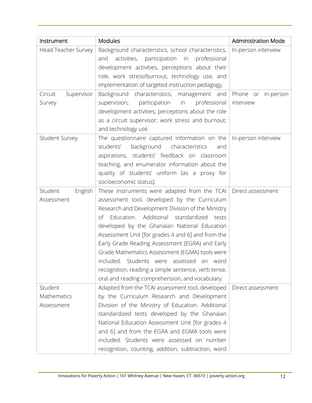| Instrument            | <b>Modules</b>                                         | <b>Administration Mode</b> |
|-----------------------|--------------------------------------------------------|----------------------------|
| Head Teacher Survey   | Background characteristics, school characteristics,    | In-person interview        |
|                       | activities,<br>participation in<br>professional<br>and |                            |
|                       | development activities, perceptions about their        |                            |
|                       | role, work stress/burnout, technology use, and         |                            |
|                       | implementation of targeted instruction pedagogy,       |                            |
| Circuit<br>Supervisor | Background characteristics; management and             | Phone or in-person         |
| Survey                | supervision;<br>participation in<br>professional       | interview                  |
|                       | development activities; perceptions about the role     |                            |
|                       | as a circuit supervisor; work stress and burnout;      |                            |
|                       | and technology use.                                    |                            |
| Student Survey        | The questionnaire captured information on the          | In-person interview        |
|                       | students'<br>background characteristics<br>and         |                            |
|                       | aspirations, students' feedback on classroom           |                            |
|                       | teaching, and enumerator information about the         |                            |
|                       | quality of students' uniform (as a proxy for           |                            |
|                       | socioeconomic status);                                 |                            |
| Student<br>English    | These instruments were adapted from the TCAI           | Direct assessment          |
| Assessment            | assessment tool, developed by the Curriculum           |                            |
|                       | Research and Development Division of the Ministry      |                            |
|                       | Education. Additional standardized tests<br>Οf         |                            |
|                       | developed by the Ghanaian National Education           |                            |
|                       | Assessment Unit [for grades 4 and 6] and from the      |                            |
|                       | Early Grade Reading Assessment (EGRA) and Early        |                            |
|                       | Grade Mathematics Assessment (EGMA) tools were         |                            |
|                       | included. Students were assessed on word               |                            |
|                       | recognition, reading a simple sentence, verb tense,    |                            |
|                       | oral and reading comprehension, and vocabulary.        |                            |
| Student               | Adapted from the TCAI assessment tool, developed       | Direct assessment          |
| Mathematics           | by the Curriculum Research and Development             |                            |
| Assessment            | Division of the Ministry of Education. Additional      |                            |
|                       | standardized tests developed by the Ghanaian           |                            |
|                       | National Education Assessment Unit [for grades 4       |                            |
|                       | and 6] and from the EGRA and EGMA tools were           |                            |
|                       | included. Students were assessed on number             |                            |
|                       | recognition, counting, addition, subtraction, word     |                            |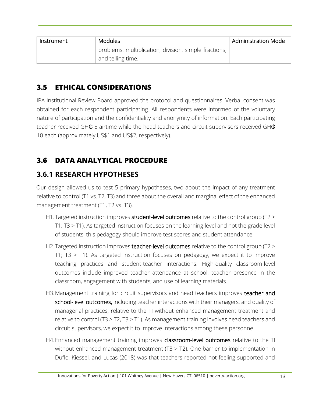| Instrument | <b>Modules</b>                                        | <b>Administration Mode</b> |
|------------|-------------------------------------------------------|----------------------------|
|            | problems, multiplication, division, simple fractions, |                            |
|            | and telling time.                                     |                            |

# <span id="page-19-0"></span>**3.5 ETHICAL CONSIDERATIONS**

IPA Institutional Review Board approved the protocol and questionnaires. Verbal consent was obtained for each respondent participating. All respondents were informed of the voluntary nature of participation and the confidentiality and anonymity of information. Each participating teacher received GH $\texttt{C}$  5 airtime while the head teachers and circuit supervisors received GH $\texttt{C}$ 10 each (approximately US\$1 and US\$2, respectively).

# <span id="page-19-1"></span>**3.6 DATA ANALYTICAL PROCEDURE**

## <span id="page-19-2"></span>**3.6.1 RESEARCH HYPOTHESES**

Our design allowed us to test 5 primary hypotheses, two about the impact of any treatment relative to control (T1 vs. T2, T3) and three about the overall and marginal effect of the enhanced management treatment (T1, T2 vs. T3).

- H1. Targeted instruction improves student-level outcomes relative to the control group (T2 > T1; T3 > T1). As targeted instruction focuses on the learning level and not the grade level of students, this pedagogy should improve test scores and student attendance.
- H2. Targeted instruction improves teacher-level outcomes relative to the control group (T2 > T1; T3 > T1). As targeted instruction focuses on pedagogy, we expect it to improve teaching practices and student-teacher interactions. High-quality classroom-level outcomes include improved teacher attendance at school, teacher presence in the classroom, engagement with students, and use of learning materials.
- H3. Management training for circuit supervisors and head teachers improves teacher and school-level outcomes, including teacher interactions with their managers, and quality of managerial practices, relative to the TI without enhanced management treatment and relative to control (T3 > T2, T3 > T1). As management training involves head teachers and circuit supervisors, we expect it to improve interactions among these personnel.
- H4. Enhanced management training improves classroom-level outcomes relative to the TI without enhanced management treatment (T3 > T2). One barrier to implementation in Duflo, Kiessel, and Lucas (2018) was that teachers reported not feeling supported and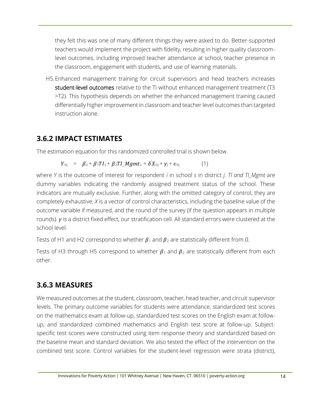they felt this was one of many different things they were asked to do. Better-supported teachers would implement the project with fidelity, resulting in higher quality classroomlevel outcomes, including improved teacher attendance at school, teacher presence in the classroom, engagement with students, and use of learning materials.

H5.Enhanced management training for circuit supervisors and head teachers increases student-level outcomes relative to the TI without enhanced management treatment (T3 >T2). This hypothesis depends on whether the enhanced management training caused differentially higher improvement in classroom and teacher level outcomes than targeted instruction alone.

#### <span id="page-20-0"></span>**3.6.2 IMPACT ESTIMATES**

The estimation equation for this randomized controlled trial is shown below.

$$
Y_{\text{isj}} = \beta_{\text{o}} + \beta_1 T I_{\text{s}} + \beta_2 T I_{\text{u}} M g m t_{\text{s}} + \delta' X_{\text{isj}} + \gamma_{\text{j}} + \epsilon_{\text{isj}} \tag{1}
$$

where *Y* is the outcome of interest for respondent *i* in school *s* in district *j*. *TI and TI\_Mgmt* are dummy variables indicating the randomly assigned treatment status of the school. These indicators are mutually exclusive. Further, along with the omitted category of control, they are completely exhaustive. *X* is a vector of control characteristics, including the baseline value of the outcome variable if measured, and the round of the survey (if the question appears in multiple rounds).  $\nu$  is a district fixed effect, our stratification cell. All standard errors were clustered at the school level.

Tests of H1 and H2 correspond to whether  $\beta_1$  and  $\beta_2$  are statistically different from 0.

Tests of H3 through H5 correspond to whether  $\beta_1$  and  $\beta_2$  are statistically different from each other.

## <span id="page-20-1"></span>**3.6.3 MEASURES**

We measured outcomes at the student, classroom, teacher, head teacher, and circuit supervisor levels. The primary outcome variables for students were attendance, standardized test scores on the mathematics exam at follow-up, standardized test scores on the English exam at followup, and standardized combined mathematics and English test score at follow-up. Subjectspecific test scores were constructed using item response theory and standardized based on the baseline mean and standard deviation. We also tested the effect of the intervention on the combined test score. Control variables for the student-level regression were strata (district),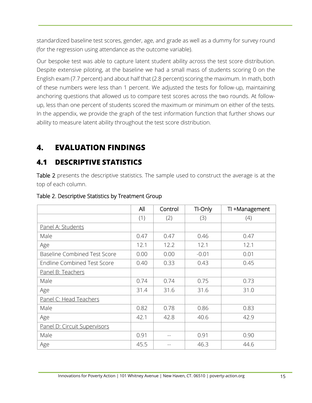standardized baseline test scores, gender, age, and grade as well as a dummy for survey round (for the regression using attendance as the outcome variable).

Our bespoke test was able to capture latent student ability across the test score distribution. Despite extensive piloting, at the baseline we had a small mass of students scoring 0 on the English exam (7.7 percent) and about half that (2.8 percent) scoring the maximum. In math, both of these numbers were less than 1 percent. We adjusted the tests for follow-up, maintaining anchoring questions that allowed us to compare test scores across the two rounds. At followup, less than one percent of students scored the maximum or minimum on either of the tests. In the appendix, we provide the graph of the test information function that further shows our ability to measure latent ability throughout the test score distribution.

# <span id="page-21-0"></span>**4. EVALUATION FINDINGS**

## <span id="page-21-1"></span>**4.1 DESCRIPTIVE STATISTICS**

[Table 2](#page-21-2) presents the descriptive statistics. The sample used to construct the average is at the top of each column.

|                                     | All  | Control | TI-Only | TI +Management |
|-------------------------------------|------|---------|---------|----------------|
|                                     | (1)  | (2)     | (3)     | (4)            |
| Panel A: Students                   |      |         |         |                |
| Male                                | 0.47 | 0.47    | 0.46    | 0.47           |
| Age                                 | 12.1 | 12.2    | 12.1    | 12.1           |
| <b>Baseline Combined Test Score</b> | 0.00 | 0.00    | $-0.01$ | 0.01           |
| <b>Endline Combined Test Score</b>  | 0.40 | 0.33    | 0.43    | 0.45           |
| Panel B: Teachers                   |      |         |         |                |
| Male                                | 0.74 | 0.74    | 0.75    | 0.73           |
| Age                                 | 31.4 | 31.6    | 31.6    | 31.0           |
| Panel C: Head Teachers              |      |         |         |                |
| Male                                | 0.82 | 0.78    | 0.86    | 0.83           |
| Age                                 | 42.1 | 42.8    | 40.6    | 42.9           |
| Panel D: Circuit Supervisors        |      |         |         |                |
| Male                                | 0.91 | --      | 0.91    | 0.90           |
| Age                                 | 45.5 |         | 46.3    | 44.6           |

#### <span id="page-21-2"></span>Table 2. Descriptive Statistics by Treatment Group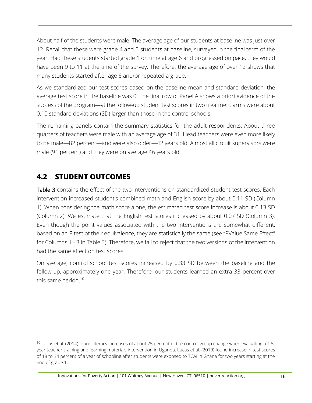About half of the students were male. The average age of our students at baseline was just over 12. Recall that these were grade 4 and 5 students at baseline, surveyed in the final term of the year. Had these students started grade 1 on time at age 6 and progressed on pace, they would have been 9 to 11 at the time of the survey. Therefore, the average age of over 12 shows that many students started after age 6 and/or repeated a grade.

As we standardized our test scores based on the baseline mean and standard deviation, the average test score in the baseline was 0. The final row of Panel A shows a priori evidence of the success of the program—at the follow-up student test scores in two treatment arms were about 0.10 standard deviations (SD) larger than those in the control schools.

The remaining panels contain the summary statistics for the adult respondents. About three quarters of teachers were male with an average age of 31. Head teachers were even more likely to be male—82 percent—and were also older—42 years old. Almost all circuit supervisors were male (91 percent) and they were on average 46 years old.

## <span id="page-22-0"></span>**4.2 STUDENT OUTCOMES**

[Table 3](#page-23-0) contains the effect of the two interventions on standardized student test scores. Each intervention increased student's combined math and English score by about 0.11 SD (Column 1). When considering the math score alone, the estimated test score increase is about 0.13 SD (Column 2). We estimate that the English test scores increased by about 0.07 SD (Column 3). Even though the point values associated with the two interventions are somewhat different, based on an F-test of their equivalence, they are statistically the same (see "PValue Same Effect" for Columns 1 - 3 in Table 3). Therefore, we fail to reject that the two versions of the intervention had the same effect on test scores.

On average, control school test scores increased by 0.33 SD between the baseline and the follow-up, approximately one year. Therefore, our students learned an extra 33 percent over this same period.<sup>10</sup>

<sup>10</sup> Lucas et al. (2014) found literacy increases of about 25 percent of the control group change when evaluating a 1.5 year teacher training and learning materials intervention in Uganda. Lucas et al. (2019) found increase in test scores of 18 to 34 percent of a year of schooling after students were exposed to TCAI in Ghana for two years starting at the end of grade 1.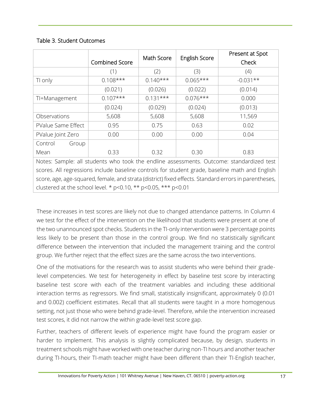#### <span id="page-23-0"></span>Table 3. Student Outcomes

|                                                                                                |                       | Math Score |                      | Present at Spot |
|------------------------------------------------------------------------------------------------|-----------------------|------------|----------------------|-----------------|
|                                                                                                | <b>Combined Score</b> |            | <b>English Score</b> | Check           |
|                                                                                                | (1)                   | (2)        | (3)                  | (4)             |
| TI only                                                                                        | $0.108***$            | $0.140***$ | $0.065***$           | $-0.031**$      |
|                                                                                                | (0.021)               | (0.026)    | (0.022)              | (0.014)         |
| TI+Management                                                                                  | $0.107***$            | $0.131***$ | $0.076***$           | 0.000           |
|                                                                                                | (0.024)               | (0.029)    | (0.024)              | (0.013)         |
| Observations                                                                                   | 5,608                 | 5,608      | 5,608                | 11,569          |
| PValue Same Effect                                                                             | 0.95                  | 0.75       | 0.63                 | 0.02            |
| PValue Joint Zero                                                                              | 0.00                  | 0.00       | 0.00                 | 0.04            |
| Control<br>Group                                                                               |                       |            |                      |                 |
| Mean                                                                                           | 0.33                  | 0.32       | 0.30                 | 0.83            |
| Notes: Sample: all students who took the endline assessments. Outcome: standardized test       |                       |            |                      |                 |
| scores. All regressions include baseline controls for student grade, baseline math and English |                       |            |                      |                 |

These increases in test scores are likely not due to changed attendance patterns. In Column 4 we test for the effect of the intervention on the likelihood that students were present at one of the two unannounced spot checks. Students in the TI-only intervention were 3 percentage points less likely to be present than those in the control group. We find no statistically significant difference between the intervention that included the management training and the control group. We further reject that the effect sizes are the same across the two interventions.

score, age, age-squared, female, and strata (district) fixed effects. Standard errors in parentheses,

clustered at the school level. \*  $p$  < 0.10, \*\*  $p$  < 0.05, \*\*\*  $p$  < 0.01

One of the motivations for the research was to assist students who were behind their gradelevel competencies. We test for heterogeneity in effect by baseline test score by interacting baseline test score with each of the treatment variables and including these additional interaction terms as regressors. We find small, statistically insignificant, approximately 0 (0.01 and 0.002) coefficient estimates. Recall that all students were taught in a more homogenous setting, not just those who were behind grade-level. Therefore, while the intervention increased test scores, it did not narrow the within grade-level test score gap.

Further, teachers of different levels of experience might have found the program easier or harder to implement. This analysis is slightly complicated because, by design, students in treatment schools might have worked with one teacher during non-TI hours and another teacher during TI-hours, their TI-math teacher might have been different than their TI-English teacher,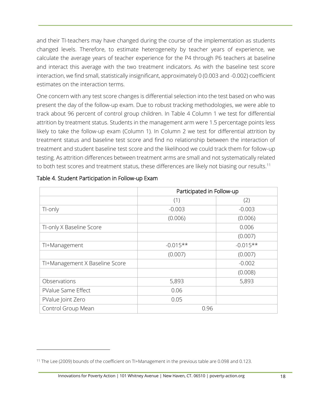and their TI-teachers may have changed during the course of the implementation as students changed levels. Therefore, to estimate heterogeneity by teacher years of experience, we calculate the average years of teacher experience for the P4 through P6 teachers at baseline and interact this average with the two treatment indicators. As with the baseline test score interaction, we find small, statistically insignificant, approximately 0 (0.003 and -0.002) coefficient estimates on the interaction terms.

One concern with any test score changes is differential selection into the test based on who was present the day of the follow-up exam. Due to robust tracking methodologies, we were able to track about 96 percent of control group children. In Table 4 Column 1 we test for differential attrition by treatment status. Students in the management arm were 1.5 percentage points less likely to take the follow-up exam (Column 1). In Column 2 we test for differential attrition by treatment status and baseline test score and find no relationship between the interaction of treatment and student baseline test score and the likelihood we could track them for follow-up testing. As attrition differences between treatment arms are small and not systematically related to both test scores and treatment status, these differences are likely not biasing our results.<sup>11</sup>

|                                | Participated in Follow-up |            |  |
|--------------------------------|---------------------------|------------|--|
|                                | (1)                       | (2)        |  |
| TI-only                        | $-0.003$                  | $-0.003$   |  |
|                                | (0.006)                   | (0.006)    |  |
| TI-only X Baseline Score       |                           | 0.006      |  |
|                                |                           | (0.007)    |  |
| TI+Management                  | $-0.015**$                | $-0.015**$ |  |
|                                | (0.007)                   | (0.007)    |  |
| TI+Management X Baseline Score |                           | $-0.002$   |  |
|                                |                           | (0.008)    |  |
| Observations                   | 5,893                     | 5,893      |  |
| PValue Same Effect             | 0.06                      |            |  |
| PValue Joint Zero              | 0.05                      |            |  |
| Control Group Mean             | 0.96                      |            |  |

#### <span id="page-24-0"></span>Table 4. Student Participation in Follow-up Exam

<sup>&</sup>lt;sup>11</sup> The Lee (2009) bounds of the coefficient on TI+Management in the previous table are 0.098 and 0.123.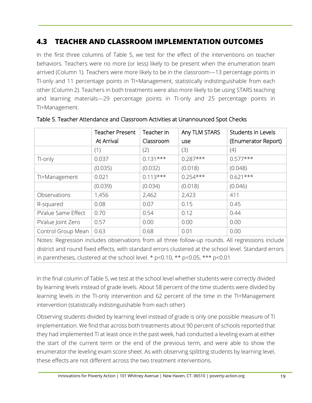## <span id="page-25-0"></span>**4.3 TEACHER AND CLASSROOM IMPLEMENTATION OUTCOMES**

In the first three columns of Table 5, we test for the effect of the interventions on teacher behaviors. Teachers were no more (or less) likely to be present when the enumeration team arrived (Column 1). Teachers were more likely to be in the classroom—13 percentage points in TI-only and 11 percentage points in TI+Management, statistically indistinguishable from each other (Column 2). Teachers in both treatments were also more likely to be using STARS teaching and learning materials—29 percentage points in TI-only and 25 percentage points in TI+Management.

|                                                                                                  | <b>Teacher Present</b> | Teacher in | Any TLM STARS | Students in Levels  |  |
|--------------------------------------------------------------------------------------------------|------------------------|------------|---------------|---------------------|--|
|                                                                                                  | At Arrival             | Classroom  | use           | (Enumerator Report) |  |
|                                                                                                  | (1)                    | (2)        | (3)           | (4)                 |  |
| TI-only                                                                                          | 0.037                  | $0.131***$ | $0.287***$    | $0.577***$          |  |
|                                                                                                  | (0.035)                | (0.032)    | (0.018)       | (0.048)             |  |
| TI+Management                                                                                    | 0.021                  | $0.113***$ | $0.254***$    | $0.621***$          |  |
|                                                                                                  | (0.039)                | (0.034)    | (0.018)       | (0.046)             |  |
| Observations                                                                                     | 1,456                  | 2,462      | 2,423         | 411                 |  |
| R-squared                                                                                        | 0.08                   | 0.07       | 0.15          | 0.45                |  |
| PValue Same Effect                                                                               | 0.70                   | 0.54       | 0.12          | 0.44                |  |
| PValue Joint Zero                                                                                | 0.57                   | 0.00       | 0.00          | 0.00                |  |
| Control Group Mean                                                                               | 0.63                   | 0.68       | 0.01          | 0.00                |  |
| Notes: Regression includes observations from all three follow-up rounds. All regressions include |                        |            |               |                     |  |

<span id="page-25-1"></span>Table 5. Teacher Attendance and Classroom Activities at Unannounced Spot Checks

In the final column of Table 5, we test at the school level whether students were correctly divided by learning levels instead of grade levels. About 58 percent of the time students were divided by learning levels in the TI-only intervention and 62 percent of the time in the TI+Management intervention (statistically indistinguishable from each other).

district and round fixed effects, with standard errors clustered at the school level. Standard errors

in parentheses, clustered at the school level. \* p<0.10, \*\* p<0.05, \*\*\* p<0.01

Observing students divided by learning level instead of grade is only one possible measure of TI implementation. We find that across both treatments about 90 percent of schools reported that they had implemented TI at least once in the past week, had conducted a leveling exam at either the start of the current term or the end of the previous term, and were able to show the enumerator the leveling exam score sheet. As with observing splitting students by learning level, these effects are not different across the two treatment interventions.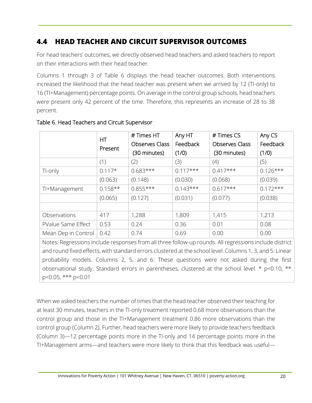## <span id="page-26-0"></span>**4.4 HEAD TEACHER AND CIRCUIT SUPERVISOR OUTCOMES**

For head teachers' outcomes, we directly observed head teachers and asked teachers to report on their interactions with their head teacher.

Columns 1 through 3 of Table 6 displays the head teacher outcomes. Both interventions increased the likelihood that the head teacher was present when we arrived by 12 (TI-only) to 16 (TI+Management) percentage points. On average in the control group schools, head teachers were present only 42 percent of the time. Therefore, this represents an increase of 28 to 38 percent.

|                                                                                                         | HT        | # Times HT            | Any HT     | # Times CS            | Any CS     |  |
|---------------------------------------------------------------------------------------------------------|-----------|-----------------------|------------|-----------------------|------------|--|
|                                                                                                         | Present   | <b>Observes Class</b> | Feedback   | <b>Observes Class</b> | Feedback   |  |
|                                                                                                         |           | (30 minutes)          | (1/0)      | (30 minutes)          | (1/0)      |  |
|                                                                                                         | (1)       | (2)                   | (3)        | (4)                   | (5)        |  |
| TI-only                                                                                                 | $0.117*$  | $0.683***$            | $0.117***$ | $0.417***$            | $0.126***$ |  |
|                                                                                                         | (0.063)   | (0.148)               | (0.030)    | (0.068)               | (0.039)    |  |
| TI+Management                                                                                           | $0.158**$ | $0.855***$            | $0.143***$ | $0.617***$            | $0.172***$ |  |
|                                                                                                         | (0.065)   | (0.127)               | (0.031)    | (0.077)               | (0.038)    |  |
|                                                                                                         |           |                       |            |                       |            |  |
| Observations                                                                                            | 417       | 1,288                 | 1,809      | 1,415                 | 1,213      |  |
| PValue Same Effect                                                                                      | 0.53      | 0.24                  | 0.36       | 0.01                  | 0.08       |  |
| Mean Dep in Control                                                                                     | 0.42      | 0.74                  | 0.69       | 0.00                  | 0.00       |  |
| Notes: Regressions include responses from all three follow-up rounds. All regressions include district  |           |                       |            |                       |            |  |
| and round fived effects, with standard errors clustered at the school level Columns 1, 3, and 5: Linear |           |                       |            |                       |            |  |

#### <span id="page-26-1"></span>Table 6. Head Teachers and Circuit Supervisor

and round fixed effects, with standard errors clustered at the school level. Columns 1, 3, and 5: Linear probability models. Columns 2, 5, and 6: These questions were not asked during the first observational study. Standard errors in parentheses, clustered at the school level. \* p<0.10, \*\* p<0.05, \*\*\* p<0.01

When we asked teachers the number of times that the head teacher observed their teaching for at least 30 minutes, teachers in the TI-only treatment reported 0.68 more observations than the control group and those in the TI+Management treatment 0.86 more observations than the control group (Column 2). Further, head teachers were more likely to provide teachers feedback (Column 3)—12 percentage points more in the TI-only and 14 percentage points more in the TI+Management arms—and teachers were more likely to think that this feedback was useful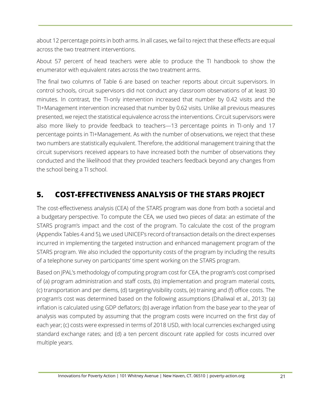about 12 percentage points in both arms. In all cases, we fail to reject that these effects are equal across the two treatment interventions.

About 57 percent of head teachers were able to produce the TI handbook to show the enumerator with equivalent rates across the two treatment arms.

The final two columns of Table 6 are based on teacher reports about circuit supervisors. In control schools, circuit supervisors did not conduct any classroom observations of at least 30 minutes. In contrast, the TI-only intervention increased that number by 0.42 visits and the TI+Management intervention increased that number by 0.62 visits. Unlike all previous measures presented, we reject the statistical equivalence across the interventions. Circuit supervisors were also more likely to provide feedback to teachers—13 percentage points in TI-only and 17 percentage points in TI+Management. As with the number of observations, we reject that these two numbers are statistically equivalent. Therefore, the additional management training that the circuit supervisors received appears to have increased both the number of observations they conducted and the likelihood that they provided teachers feedback beyond any changes from the school being a TI school.

# <span id="page-27-0"></span>**5. COST-EFFECTIVENESS ANALYSIS OF THE STARS PROJECT**

The cost-effectiveness analysis (CEA) of the STARS program was done from both a societal and a budgetary perspective. To compute the CEA, we used two pieces of data: an estimate of the STARS program's impact and the cost of the program. To calculate the cost of the program (Appendix Tables 4 and 5), we used UNICEF's record of transaction details on the direct expenses incurred in implementing the targeted instruction and enhanced management program of the STARS program. We also included the opportunity costs of the program by including the results of a telephone survey on participants' time spent working on the STARS program.

Based on JPAL's methodology of computing program cost for CEA, the program's cost comprised of (a) program administration and staff costs, (b) implementation and program material costs, (c) transportation and per diems, (d) targeting/visibility costs, (e) training and (f) office costs. The program's cost was determined based on the following assumptions (Dhaliwal et al., 2013): (a) inflation is calculated using GDP deflators; (b) average inflation from the base year to the year of analysis was computed by assuming that the program costs were incurred on the first day of each year; (c) costs were expressed in terms of 2018 USD, with local currencies exchanged using standard exchange rates; and (d) a ten percent discount rate applied for costs incurred over multiple years.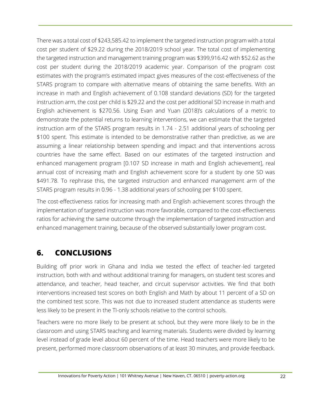There was a total cost of \$243,585.42 to implement the targeted instruction program with a total cost per student of \$29.22 during the 2018/2019 school year. The total cost of implementing the targeted instruction and management training program was \$399,916.42 with \$52.62 as the cost per student during the 2018/2019 academic year. Comparison of the program cost estimates with the program's estimated impact gives measures of the cost-effectiveness of the STARS program to compare with alternative means of obtaining the same benefits. With an increase in math and English achievement of 0.108 standard deviations (SD) for the targeted instruction arm, the cost per child is \$29.22 and the cost per additional SD increase in math and English achievement is \$270.56. Using Evan and Yuan (2018)'s calculations of a metric to demonstrate the potential returns to learning interventions, we can estimate that the targeted instruction arm of the STARS program results in 1.74 - 2.51 additional years of schooling per \$100 spent. This estimate is intended to be demonstrative rather than predictive, as we are assuming a linear relationship between spending and impact and that interventions across countries have the same effect. Based on our estimates of the targeted instruction and enhanced management program [0.107 SD increase in math and English achievement], real annual cost of increasing math and English achievement score for a student by one SD was \$491.78. To rephrase this, the targeted instruction and enhanced management arm of the STARS program results in 0.96 - 1.38 additional years of schooling per \$100 spent.

The cost-effectiveness ratios for increasing math and English achievement scores through the implementation of targeted instruction was more favorable, compared to the cost-effectiveness ratios for achieving the same outcome through the implementation of targeted instruction and enhanced management training, because of the observed substantially lower program cost.

## <span id="page-28-0"></span>**6. CONCLUSIONS**

Building off prior work in Ghana and India we tested the effect of teacher-led targeted instruction, both with and without additional training for managers, on student test scores and attendance, and teacher, head teacher, and circuit supervisor activities. We find that both interventions increased test scores on both English and Math by about 11 percent of a SD on the combined test score. This was not due to increased student attendance as students were less likely to be present in the TI-only schools relative to the control schools.

Teachers were no more likely to be present at school, but they were more likely to be in the classroom and using STARS teaching and learning materials. Students were divided by learning level instead of grade level about 60 percent of the time. Head teachers were more likely to be present, performed more classroom observations of at least 30 minutes, and provide feedback.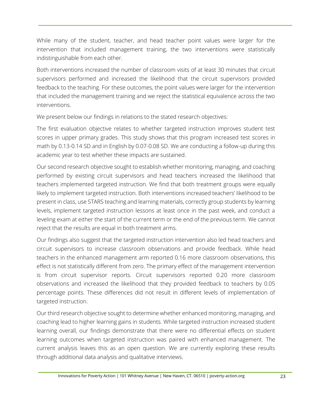While many of the student, teacher, and head teacher point values were larger for the intervention that included management training, the two interventions were statistically indistinguishable from each other.

Both interventions increased the number of classroom visits of at least 30 minutes that circuit supervisors performed and increased the likelihood that the circuit supervisors provided feedback to the teaching. For these outcomes, the point values were larger for the intervention that included the management training and we reject the statistical equivalence across the two interventions.

We present below our findings in relations to the stated research objectives:

The first evaluation objective relates to whether targeted instruction improves student test scores in upper primary grades. This study shows that this program increased test scores in math by 0.13-0.14 SD and in English by 0.07-0.08 SD. We are conducting a follow-up during this academic year to test whether these impacts are sustained.

Our second research objective sought to establish whether monitoring, managing, and coaching performed by existing circuit supervisors and head teachers increased the likelihood that teachers implemented targeted instruction. We find that both treatment groups were equally likely to implement targeted instruction. Both interventions increased teachers' likelihood to be present in class, use STARS teaching and learning materials, correctly group students by learning levels, implement targeted instruction lessons at least once in the past week, and conduct a leveling exam at either the start of the current term or the end of the previous term. We cannot reject that the results are equal in both treatment arms.

Our findings also suggest that the targeted instruction intervention also led head teachers and circuit supervisors to increase classroom observations and provide feedback. While head teachers in the enhanced management arm reported 0.16 more classroom observations, this effect is not statistically different from zero. The primary effect of the management intervention is from circuit supervisor reports. Circuit supervisors reported 0.20 more classroom observations and increased the likelihood that they provided feedback to teachers by 0.05 percentage points. These differences did not result in different levels of implementation of targeted instruction.

Our third research objective sought to determine whether enhanced monitoring, managing, and coaching lead to higher learning gains in students. While targeted instruction increased student learning overall, our findings demonstrate that there were no differential effects on student learning outcomes when targeted instruction was paired with enhanced management. The current analysis leaves this as an open question. We are currently exploring these results through additional data analysis and qualitative interviews.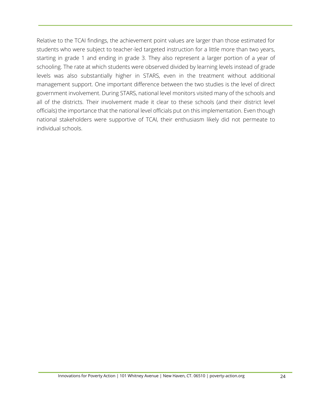Relative to the TCAI findings, the achievement point values are larger than those estimated for students who were subject to teacher-led targeted instruction for a little more than two years, starting in grade 1 and ending in grade 3. They also represent a larger portion of a year of schooling. The rate at which students were observed divided by learning levels instead of grade levels was also substantially higher in STARS, even in the treatment without additional management support. One important difference between the two studies is the level of direct government involvement. During STARS, national level monitors visited many of the schools and all of the districts. Their involvement made it clear to these schools (and their district level officials) the importance that the national level officials put on this implementation. Even though national stakeholders were supportive of TCAI, their enthusiasm likely did not permeate to individual schools.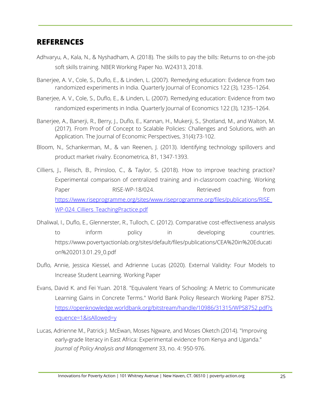#### <span id="page-31-0"></span>**REFERENCES**

- Adhvaryu, A., Kala, N., & Nyshadham, A. (2018). The skills to pay the bills: Returns to on-the-job soft skills training. NBER Working Paper No. W24313, 2018.
- Banerjee, A. V., Cole, S., Duflo, E., & Linden, L. (2007). Remedying education: Evidence from two randomized experiments in India. Quarterly Journal of Economics 122 (3), 1235–1264.
- Banerjee, A. V., Cole, S., Duflo, E., & Linden, L. (2007). Remedying education: Evidence from two randomized experiments in India. Quarterly Journal of Economics 122 (3), 1235–1264.
- Banerjee, A., Banerji, R., Berry, J., Duflo, E., Kannan, H., Mukerji, S., Shotland, M., and Walton, M. (2017). From Proof of Concept to Scalable Policies: Challenges and Solutions, with an Application. The Journal of Economic Perspectives, 31(4):73-102.
- Bloom, N., Schankerman, M., & van Reenen, J. (2013). Identifying technology spillovers and product market rivalry. Econometrica, 81, 1347-1393.
- Cilliers, J., Fleisch, B., Prinsloo, C., & Taylor, S. (2018). How to improve teaching practice? Experimental comparison of centralized training and in-classroom coaching. Working Paper RISE-WP-18/024. Retrieved from [https://www.riseprogramme.org/sites/www.riseprogramme.org/files/publications/RISE\\_](https://www.riseprogramme.org/sites/www.riseprogramme.org/files/publications/RISE_WP-024_Cilliers_TeachingPractice.pdf) WP-024 Cilliers TeachingPractice.pdf
- Dhaliwal, I., Duflo, E., Glennerster, R., Tulloch, C. (2012). Comparative cost-effectiveness analysis to inform policy in developing countries. https://www.povertyactionlab.org/sites/default/files/publications/CEA%20in%20Educati on%202013.01.29\_0.pdf
- Duflo, Annie, Jessica Kiessel, and Adrienne Lucas (2020). External Validity: Four Models to Increase Student Learning. Working Paper
- Evans, David K. and Fei Yuan. 2018. "Equivalent Years of Schooling: A Metric to Communicate Learning Gains in Concrete Terms." World Bank Policy Research Working Paper 8752. [https://openknowledge.worldbank.org/bitstream/handle/10986/31315/WPS8752.pdf?s](https://openknowledge.worldbank.org/bitstream/handle/10986/31315/WPS8752.pdf?sequence=1&isAllowed=y) [equence=1&isAllowed=y](https://openknowledge.worldbank.org/bitstream/handle/10986/31315/WPS8752.pdf?sequence=1&isAllowed=y)
- Lucas, Adrienne M., Patrick J. McEwan, Moses Ngware, and Moses Oketch (2014). "Improving early‐grade literacy in East Africa: Experimental evidence from Kenya and Uganda." *Journal of Policy Analysis and Management* 33, no. 4: 950-976.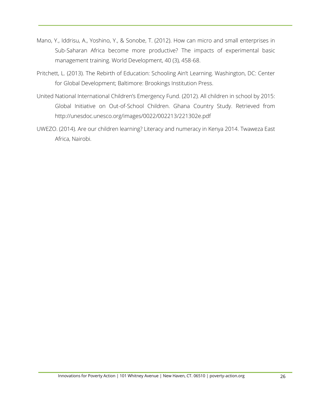- Mano, Y., Iddrisu, A., Yoshino, Y., & Sonobe, T. (2012). How can micro and small enterprises in Sub-Saharan Africa become more productive? The impacts of experimental basic management training. World Development, 40 (3), 458-68.
- Pritchett, L. (2013). The Rebirth of Education: Schooling Ain't Learning. Washington, DC: Center for Global Development; Baltimore: Brookings Institution Press.
- United National International Children's Emergency Fund. (2012). All children in school by 2015: Global Initiative on Out-of-School Children. Ghana Country Study. Retrieved from http://unesdoc.unesco.org/images/0022/002213/221302e.pdf
- UWEZO. (2014). Are our children learning? Literacy and numeracy in Kenya 2014. Twaweza East Africa, Nairobi.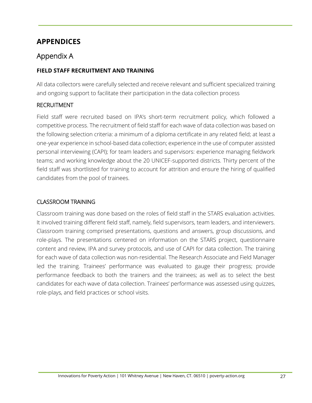## **APPENDICES**

#### Appendix A

#### **FIELD STAFF RECRUITMENT AND TRAINING**

All data collectors were carefully selected and receive relevant and sufficient specialized training and ongoing support to facilitate their participation in the data collection process

#### RECRUITMENT

Field staff were recruited based on IPA's short-term recruitment policy, which followed a competitive process. The recruitment of field staff for each wave of data collection was based on the following selection criteria: a minimum of a diploma certificate in any related field; at least a one-year experience in school-based data collection; experience in the use of computer assisted personal interviewing (CAPI); for team leaders and supervisors: experience managing fieldwork teams; and working knowledge about the 20 UNICEF-supported districts. Thirty percent of the field staff was shortlisted for training to account for attrition and ensure the hiring of qualified candidates from the pool of trainees.

#### CLASSROOM TRAINING

Classroom training was done based on the roles of field staff in the STARS evaluation activities. It involved training different field staff, namely, field supervisors, team leaders, and interviewers. Classroom training comprised presentations, questions and answers, group discussions, and role-plays. The presentations centered on information on the STARS project, questionnaire content and review, IPA and survey protocols, and use of CAPI for data collection. The training for each wave of data collection was non-residential. The Research Associate and Field Manager led the training. Trainees' performance was evaluated to gauge their progress; provide performance feedback to both the trainers and the trainees; as well as to select the best candidates for each wave of data collection. Trainees' performance was assessed using quizzes, role-plays, and field practices or school visits.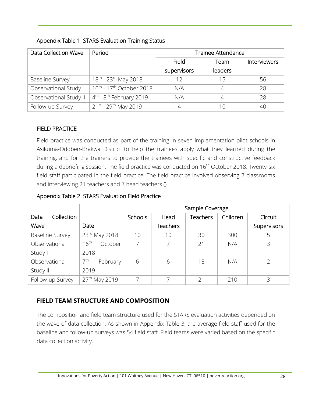| Data Collection Wave   | Period                                           | <b>Trainee Attendance</b> |                |              |  |  |
|------------------------|--------------------------------------------------|---------------------------|----------------|--------------|--|--|
|                        |                                                  | Field                     | Team           | Interviewers |  |  |
|                        |                                                  | supervisors               | leaders        |              |  |  |
| <b>Baseline Survey</b> | 18 <sup>th</sup> - 23 <sup>rd</sup> May 2018     | 12                        | 15             | 56           |  |  |
| Observational Study I  | 10 <sup>th</sup> - 17 <sup>th</sup> October 2018 | N/A                       | $\overline{4}$ | 28           |  |  |
| Observational Study II | $4^{\text{th}}$ - $8^{\text{th}}$ February 2019  | N/A                       | $\overline{4}$ | 28           |  |  |
| Follow-up Survey       | 21st - 29th May 2019                             |                           | 10             | 40           |  |  |

#### Appendix Table 1. STARS Evaluation Training Status

#### FIELD PRACTICE

Field practice was conducted as part of the training in seven implementation pilot schools in Asikuma-Odoben-Brakwa District to help the trainees apply what they learned during the training, and for the trainers to provide the trainees with specific and constructive feedback during a debriefing session. The field practice was conducted on 16<sup>th</sup> October 2018. Twenty-six field staff participated in the field practice. The field practice involved observing 7 classrooms and interviewing 21 teachers and 7 head teachers ().

#### Appendix Table 2. STARS Evaluation Field Practice

|                        |                             | Sample Coverage |                 |                 |          |             |  |  |  |
|------------------------|-----------------------------|-----------------|-----------------|-----------------|----------|-------------|--|--|--|
| Collection<br>Data     |                             | <b>Schools</b>  | Head            | <b>Teachers</b> | Children | Circuit     |  |  |  |
| Wave                   | Date                        |                 | <b>Teachers</b> |                 |          | Supervisors |  |  |  |
| <b>Baseline Survey</b> | 23rd May 2018               | 10              | 10              | 30              | 300      | 5           |  |  |  |
| Observational          | 16 <sup>th</sup><br>October |                 | 7               | 21              | N/A      | 3           |  |  |  |
| Study I                | 2018                        |                 |                 |                 |          |             |  |  |  |
| Observational          | 7 <sup>th</sup><br>February | 6               | 6               | 18              | N/A      |             |  |  |  |
| Study II               | 2019                        |                 |                 |                 |          |             |  |  |  |
| Follow-up Survey       | 27 <sup>th</sup> May 2019   |                 |                 | 21              | 210      | 3           |  |  |  |

#### **FIELD TEAM STRUCTURE AND COMPOSITION**

The composition and field team structure used for the STARS evaluation activities depended on the wave of data collection. As shown in Appendix Table3, the average field staff used for the baseline and follow-up surveys was 54 field staff. Field teams were varied based on the specific data collection activity.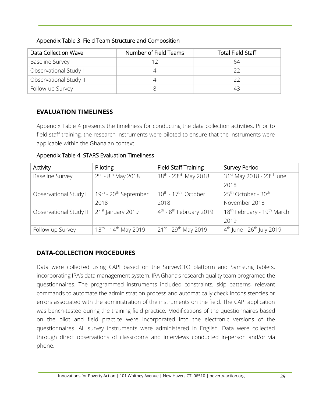#### Appendix Table 3. Field Team Structure and Composition

| Data Collection Wave   | Number of Field Teams | <b>Total Field Staff</b> |
|------------------------|-----------------------|--------------------------|
| <b>Baseline Survey</b> |                       | 64                       |
| Observational Study I  |                       |                          |
| Observational Study II |                       |                          |
| Follow-up Survey       |                       |                          |

#### **EVALUATION TIMELINESS**

Appendix Table 4 presents the timeliness for conducting the data collection activities. Prior to field staff training, the research instruments were piloted to ensure that the instruments were applicable within the Ghanaian context.

#### Appendix Table 4. STARS Evaluation Timeliness

| Activity               | Piloting                                      | <b>Field Staff Training</b>                  | Survey Period                                      |
|------------------------|-----------------------------------------------|----------------------------------------------|----------------------------------------------------|
| <b>Baseline Survey</b> | $2^{nd}$ - $8^{th}$ May 2018                  | 18 <sup>th</sup> - 23 <sup>rd</sup> May 2018 | 31 <sup>st</sup> May 2018 - 23 <sup>rd</sup> June  |
|                        |                                               |                                              | 2018                                               |
| Observational Study I  | 19 <sup>th</sup> - 20 <sup>th</sup> September | 10 <sup>th</sup> - 17 <sup>th</sup> October  | 25 <sup>th</sup> October - 30 <sup>th</sup>        |
|                        | 2018                                          | 2018                                         | November 2018                                      |
| Observational Study II | 21 <sup>st</sup> January 2019                 | $4th - 8th$ February 2019                    | 18 <sup>th</sup> February - 19 <sup>th</sup> March |
|                        |                                               |                                              | 2019                                               |
| Follow-up Survey       | $13^{th}$ - 14 <sup>th</sup> May 2019         | $21^{st}$ - 29 <sup>th</sup> May 2019        | $4^{th}$ June - 26 <sup>th</sup> July 2019         |

#### **DATA-COLLECTION PROCEDURES**

Data were collected using CAPI based on the SurveyCTO platform and Samsung tablets, incorporating IPA's data management system. IPA Ghana's research quality team programed the questionnaires. The programmed instruments included constraints, skip patterns, relevant commands to automate the administration process and automatically check inconsistencies or errors associated with the administration of the instruments on the field. The CAPI application was bench-tested during the training field practice. Modifications of the questionnaires based on the pilot and field practice were incorporated into the electronic versions of the questionnaires. All survey instruments were administered in English. Data were collected through direct observations of classrooms and interviews conducted in-person and/or via phone.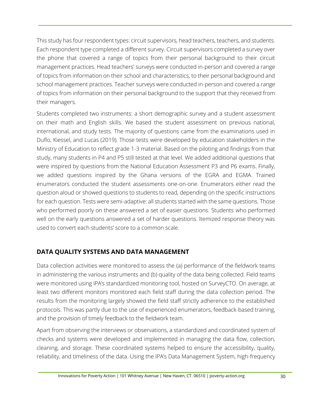This study has four respondent types: circuit supervisors, head teachers, teachers, and students. Each respondent type completed a different survey. Circuit supervisors completed a survey over the phone that covered a range of topics from their personal background to their circuit management practices. Head teachers' surveys were conducted in-person and covered a range of topics from information on their school and characteristics, to their personal background and school management practices. Teacher surveys were conducted in-person and covered a range of topics from information on their personal background to the support that they received from their managers.

Students completed two instruments: a short demographic survey and a student assessment on their math and English skills. We based the student assessment on previous national, international, and study tests. The majority of questions came from the examinations used in Duflo, Kiessel, and Lucas (2019). Those tests were developed by education stakeholders in the Ministry of Education to reflect grade 1-3 material. Based on the piloting and findings from that study, many students in P4 and P5 still tested at that level. We added additional questions that were inspired by questions from the National Education Assessment P3 and P6 exams. Finally, we added questions inspired by the Ghana versions of the EGRA and EGMA. Trained enumerators conducted the student assessments one-on-one. Enumerators either read the question aloud or showed questions to students to read, depending on the specific instructions for each question. Tests were semi-adaptive: all students started with the same questions. Those who performed poorly on these answered a set of easier questions. Students who performed well on the early questions answered a set of harder questions. Itemized response theory was used to convert each students' score to a common scale.

#### **DATA QUALITY SYSTEMS AND DATA MANAGEMENT**

Data collection activities were monitored to assess the (a) performance of the fieldwork teams in administering the various instruments and (b) quality of the data being collected. Field teams were monitored using IPA's standardized monitoring tool, hosted on SurveyCTO. On average, at least two different monitors monitored each field staff during the data collection period. The results from the monitoring largely showed the field staff strictly adherence to the established protocols. This was partly due to the use of experienced enumerators, feedback-based training, and the provision of timely feedback to the fieldwork team.

Apart from observing the interviews or observations, a standardized and coordinated system of checks and systems were developed and implemented in managing the data flow, collection, cleaning, and storage. These coordinated systems helped to ensure the accessibility, quality, reliability, and timeliness of the data. Using the IPA's Data Management System, high-frequency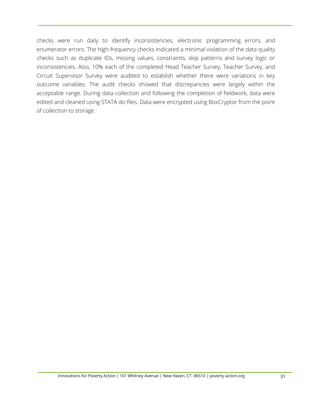checks were run daily to identify inconsistencies, electronic programming errors, and enumerator errors. The high-frequency checks indicated a minimal violation of the data quality checks such as duplicate IDs, missing values, constraints, skip patterns and survey logic or inconsistencies. Also, 10% each of the completed Head Teacher Survey, Teacher Survey, and Circuit Supervisor Survey were audited to establish whether there were variations in key outcome variables. The audit checks showed that discrepancies were largely within the acceptable range. During data collection and following the completion of fieldwork, data were edited and cleaned using STATA do-files. Data were encrypted using BoxCryptor from the point of collection to storage.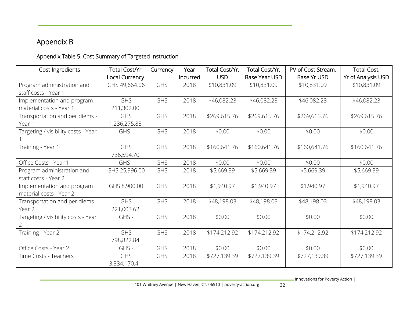# Appendix B

## Appendix Table 5. Cost Summary of Targeted Instruction

| Cost Ingredients                    | <b>Total Cost/Yr</b> | Currency | Year     | Total Cost/Yr, | Total Cost/Yr, | PV of Cost Stream, | Total Cost,        |
|-------------------------------------|----------------------|----------|----------|----------------|----------------|--------------------|--------------------|
|                                     | Local Currency       |          | Incurred | <b>USD</b>     | Base Year USD  | Base Yr USD        | Yr of Analysis USD |
| Program administration and          | GHS 49,664.06        | GHS      | 2018     | \$10,831.09    | \$10,831.09    | \$10,831.09        | \$10,831.09        |
| staff costs - Year 1                |                      |          |          |                |                |                    |                    |
| Implementation and program          | <b>GHS</b>           | GHS      | 2018     | \$46,082.23    | \$46,082.23    | \$46,082.23        | \$46,082.23        |
| material costs - Year 1             | 211,302.00           |          |          |                |                |                    |                    |
| Transportation and per diems -      | GHS                  | GHS      | 2018     | \$269,615.76   | \$269,615.76   | \$269,615.76       | \$269,615.76       |
| Year 1                              | 1,236,275.88         |          |          |                |                |                    |                    |
| Targeting / visibility costs - Year | GHS -                | GHS      | 2018     | \$0.00         | \$0.00         | \$0.00             | \$0.00             |
|                                     |                      |          |          |                |                |                    |                    |
| Training - Year 1                   | <b>GHS</b>           | GHS      | 2018     | \$160,641.76   | \$160,641.76   | \$160,641.76       | \$160,641.76       |
|                                     | 736,594.70           |          |          |                |                |                    |                    |
| Office Costs - Year 1               | GHS -                | GHS      | 2018     | \$0.00         | \$0.00         | \$0.00             | \$0.00             |
| Program administration and          | GHS 25,996.00        | GHS      | 2018     | \$5,669.39     | \$5,669.39     | \$5,669.39         | \$5,669.39         |
| staff costs - Year 2                |                      |          |          |                |                |                    |                    |
| Implementation and program          | GHS 8,900.00         | GHS      | 2018     | \$1,940.97     | \$1,940.97     | \$1,940.97         | \$1,940.97         |
| material costs - Year 2             |                      |          |          |                |                |                    |                    |
| Transportation and per diems -      | <b>GHS</b>           | GHS      | 2018     | \$48,198.03    | \$48,198.03    | \$48,198.03        | \$48,198.03        |
| Year 2                              | 221,003.62           |          |          |                |                |                    |                    |
| Targeting / visibility costs - Year | GHS -                | GHS      | 2018     | \$0.00         | \$0.00         | \$0.00             | \$0.00             |
|                                     |                      |          |          |                |                |                    |                    |
| Training - Year 2                   | <b>GHS</b>           | GHS      | 2018     | \$174,212.92   | \$174,212.92   | \$174,212.92       | \$174,212.92       |
|                                     | 798,822.84           |          |          |                |                |                    |                    |
| Office Costs - Year 2               | GHS -                | GHS      | 2018     | \$0.00         | \$0.00         | \$0.00             | \$0.00             |
| Time Costs - Teachers               | <b>GHS</b>           | GHS      | 2018     | \$727,139.39   | \$727,139.39   | \$727,139.39       | \$727,139.39       |
|                                     | 3,334,170.41         |          |          |                |                |                    |                    |

- Innovations for Poverty Action |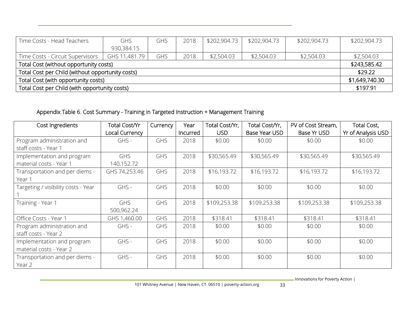| Time Costs - Head Teachers                       | <b>GHS</b>    | GHS | 2018 | \$202,904.73 | \$202,904.73 | \$202,904.73 | \$202,904.73   |
|--------------------------------------------------|---------------|-----|------|--------------|--------------|--------------|----------------|
|                                                  | 930,384.15    |     |      |              |              |              |                |
| Time Costs - Circuit Supervisors                 | GHS 11,481.79 | GHS | 2018 | \$2,504.03   | \$2,504.03   | \$2,504.03   | \$2,504.03     |
| Total Cost (without opportunity costs)           |               |     |      |              |              |              |                |
| Total Cost per Child (without opportunity costs) |               |     |      |              |              |              |                |
| Total Cost (with opportunity costs)              |               |     |      |              |              |              | \$1,649,740.30 |
| Total Cost per Child (with opportunity costs)    |               |     |      |              |              |              | \$197.91       |

## Appendix Table 6. Cost Summary - Training in Targeted Instruction + Management Training

| Cost Ingredients                                      | Total Cost/Yr<br>Local Currency | Currency   | Year<br>Incurred | Total Cost/Yr,<br><b>USD</b> | Total Cost/Yr,<br>Base Year USD | PV of Cost Stream,<br>Base Yr USD | Total Cost,<br>Yr of Analysis USD |
|-------------------------------------------------------|---------------------------------|------------|------------------|------------------------------|---------------------------------|-----------------------------------|-----------------------------------|
| Program administration and<br>staff costs - Year 1    | GHS -                           | <b>GHS</b> | 2018             | \$0.00                       | \$0.00                          | \$0.00                            | \$0.00                            |
| Implementation and program<br>material costs - Year 1 | <b>GHS</b><br>140,152.72        | <b>GHS</b> | 2018             | \$30,565.49                  | \$30,565.49                     | \$30,565.49                       | \$30,565.49                       |
| Transportation and per diems -<br>Year 1              | GHS 74,253.46                   | <b>GHS</b> | 2018             | \$16,193.72                  | \$16,193.72                     | \$16,193.72                       | \$16,193.72                       |
| Targeting / visibility costs - Year                   | GHS -                           | <b>GHS</b> | 2018             | \$0.00                       | \$0.00                          | \$0.00                            | \$0.00                            |
| Training - Year 1                                     | <b>GHS</b><br>500,962.24        | <b>GHS</b> | 2018             | \$109,253.38                 | \$109,253.38                    | \$109,253.38                      | \$109,253.38                      |
| Office Costs - Year 1                                 | GHS 1,460.00                    | <b>GHS</b> | 2018             | \$318.41                     | \$318.41                        | \$318.41                          | \$318.41                          |
| Program administration and<br>staff costs - Year 2    | GHS -                           | <b>GHS</b> | 2018             | \$0.00                       | \$0.00                          | \$0.00                            | \$0.00                            |
| Implementation and program<br>material costs - Year 2 | GHS -                           | GHS        | 2018             | \$0.00                       | \$0.00                          | \$0.00                            | \$0.00                            |
| Transportation and per diems -<br>Year 2              | GHS -                           | <b>GHS</b> | 2018             | \$0.00                       | \$0.00                          | \$0.00                            | \$0.00                            |

- Innovations for Poverty Action |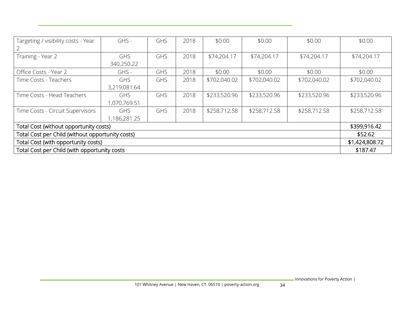| Targeting / visibility costs - Year              | GHS -                      | GHS | 2018 | \$0.00       | \$0.00       | \$0.00       | \$0.00       |
|--------------------------------------------------|----------------------------|-----|------|--------------|--------------|--------------|--------------|
| Training - Year 2                                | <b>GHS</b><br>340,250.22   | GHS | 2018 | \$74,204.17  | \$74,204.17  | \$74,204.17  | \$74,204.17  |
| Office Costs - Year 2                            | GHS -                      | GHS | 2018 | \$0.00       | \$0.00       | \$0.00       | \$0.00       |
| Time Costs - Teachers                            | <b>GHS</b><br>3,219,081.64 | GHS | 2018 | \$702,040.02 | \$702,040.02 | \$702,040.02 | \$702,040.02 |
| Time Costs - Head Teachers                       | <b>GHS</b><br>1,070,769.51 | GHS | 2018 | \$233,520.96 | \$233,520.96 | \$233,520.96 | \$233,520.96 |
| Time Costs - Circuit Supervisors                 | <b>GHS</b><br>1,186,281.25 | GHS | 2018 | \$258,712.58 | \$258,712.58 | \$258,712.58 | \$258,712.58 |
| Total Cost (without opportunity costs)           |                            |     |      |              |              |              |              |
| Total Cost per Child (without opportunity costs) |                            |     |      |              |              |              |              |
| Total Cost (with opportunity costs)              |                            |     |      |              |              |              |              |
| Total Cost per Child (with opportunity costs     |                            |     |      |              |              |              | \$187.47     |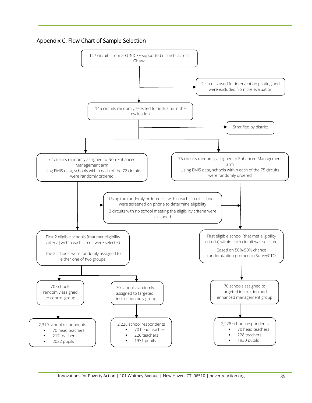